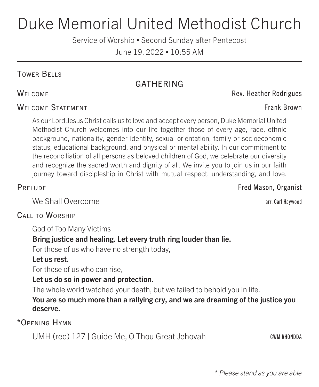# Duke Memorial United Methodist Church

Service of Worship • Second Sunday after Pentecost

June 19, 2022 • 10:55 AM

# Tower Bells

# GATHERING

# WELCOME STATEMENT FRANK BROWN STATEMENT

As our Lord Jesus Christ calls us to love and accept every person, Duke Memorial United Methodist Church welcomes into our life together those of every age, race, ethnic background, nationality, gender identity, sexual orientation, family or socioeconomic status, educational background, and physical or mental ability. In our commitment to the reconciliation of all persons as beloved children of God, we celebrate our diversity and recognize the sacred worth and dignity of all. We invite you to join us in our faith journey toward discipleship in Christ with mutual respect, understanding, and love.

We Shall Overcome arrangement and the state of the state arr. Carl Haywood

# Call to Worship

God of Too Many Victims

# Bring justice and healing. Let every truth ring louder than lie.

For those of us who have no strength today,

# Let us rest.

For those of us who can rise,

# Let us do so in power and protection.

The whole world watched your death, but we failed to behold you in life.

# You are so much more than a rallying cry, and we are dreaming of the justice you deserve.

\*Opening Hymn

UMH (red) 127 | Guide Me, O Thou Great Jehovah CWM RHONDDA

\* *Please stand as you are able*

PRELUDE **FRELUDE** Fred Mason, Organist

WELCOME **WELCOME Rev. Heather Rodrigues**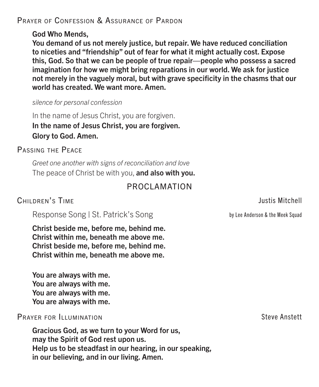# PRAYER OF CONFESSION & ASSURANCE OF PARDON

### God Who Mends,

You demand of us not merely justice, but repair. We have reduced conciliation to niceties and "friendship" out of fear for what it might actually cost. Expose this, God. So that we can be people of true repair—people who possess a sacred imagination for how we might bring reparations in our world. We ask for justice not merely in the vaguely moral, but with grave specificity in the chasms that our world has created. We want more. Amen.

### *silence for personal confession*

In the name of Jesus Christ, you are forgiven. In the name of Jesus Christ, you are forgiven. Glory to God. Amen.

Passing the Peace

*Greet one another with signs of reconciliation and love* The peace of Christ be with you, and also with you.

# PROCLAMATION

# CHILDREN'S TIME **CHILDREN'S** TIME

Response Song | St. Patrick's Song by Lee Anderson & the Meek Squad

Christ beside me, before me, behind me. Christ within me, beneath me above me. Christ beside me, before me, behind me. Christ within me, beneath me above me.

You are always with me. You are always with me. You are always with me. You are always with me.

PRAYER FOR ILLUMINATION STEVE AND STEVE AND STEVE AND STEVE AND STEVE AND STEVE AND STEVE AND STEVE AND STEVE

Gracious God, as we turn to your Word for us, may the Spirit of God rest upon us. Help us to be steadfast in our hearing, in our speaking, in our believing, and in our living. Amen.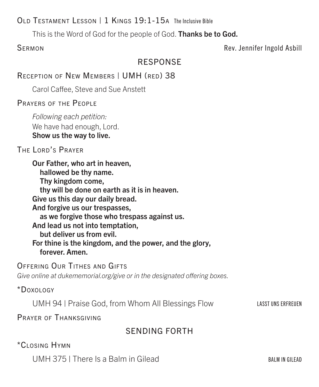# OLD TESTAMENT LESSON | 1 KINGS 19:1-15A The Inclusive Bible

This is the Word of God for the people of God. Thanks be to God.

SERMON **SERMON** 

# RESPONSE

RECEPTION OF NEW MEMBERS | UMH (RED) 38

Carol Caffee, Steve and Sue Anstett

Prayers of the People

*Following each petition:* We have had enough, Lord. Show us the way to live.

# The Lord's Prayer

Our Father, who art in heaven, hallowed be thy name. Thy kingdom come, thy will be done on earth as it is in heaven. Give us this day our daily bread. And forgive us our trespasses, as we forgive those who trespass against us. And lead us not into temptation, but deliver us from evil. For thine is the kingdom, and the power, and the glory, forever. Amen.

Offering Our Tithes and Gifts

*Give online at dukememorial.org/give or in the designated offering boxes.*

# \*Doxology

UMH 94 | Praise God, from Whom All Blessings Flow LASST UNS ERFREUEN

PRAYER OF THANKSGIVING

# SENDING FORTH

# \*Closing Hymn

UMH  $375$  | There Is a Balm in Gilead  $B$